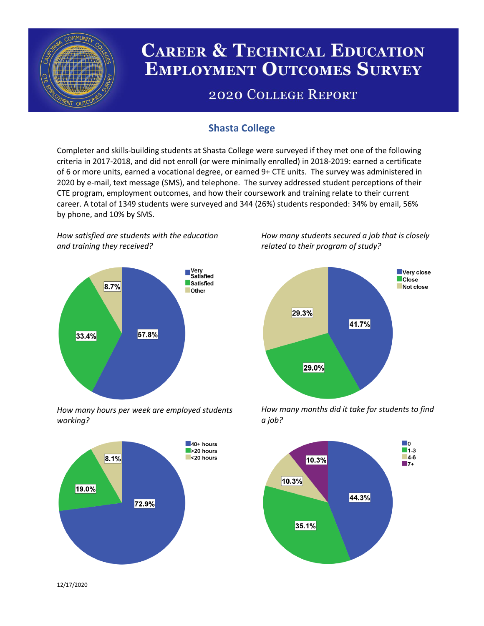

# **CAREER & TECHNICAL EDUCATION EMPLOYMENT OUTCOMES SURVEY**

## **2020 COLLEGE REPORT**

## **Shasta College**

Completer and skills-building students at Shasta College were surveyed if they met one of the following criteria in 2017-2018, and did not enroll (or were minimally enrolled) in 2018-2019: earned a certificate of 6 or more units, earned a vocational degree, or earned 9+ CTE units. The survey was administered in 2020 by e-mail, text message (SMS), and telephone. The survey addressed student perceptions of their CTE program, employment outcomes, and how their coursework and training relate to their current career. A total of 1349 students were surveyed and 344 (26%) students responded: 34% by email, 56% by phone, and 10% by SMS.

*How satisfied are students with the education and training they received?*



*How many hours per week are employed students working?*



*How many students secured a job that is closely related to their program of study?*



*How many months did it take for students to find a job?*



12/17/2020